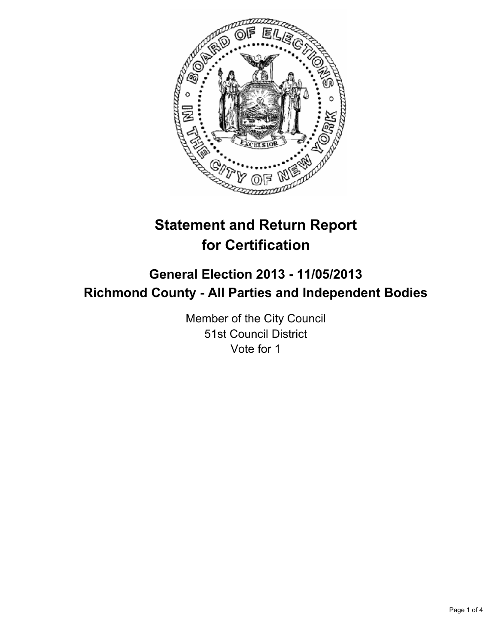

# **Statement and Return Report for Certification**

## **General Election 2013 - 11/05/2013 Richmond County - All Parties and Independent Bodies**

Member of the City Council 51st Council District Vote for 1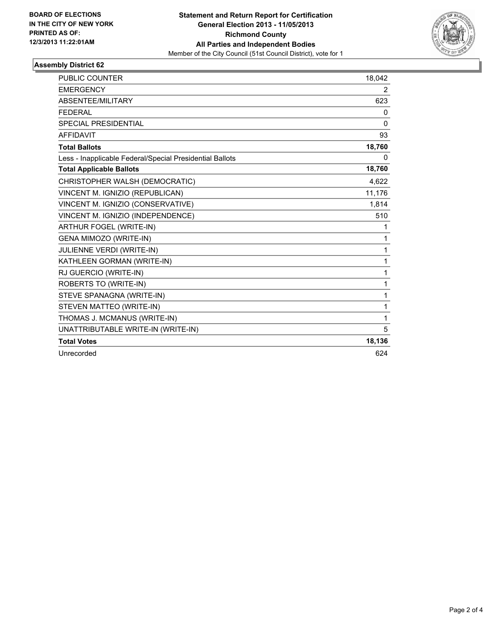

## **Assembly District 62**

| PUBLIC COUNTER                                           | 18,042 |
|----------------------------------------------------------|--------|
| <b>EMERGENCY</b>                                         | 2      |
| ABSENTEE/MILITARY                                        | 623    |
| <b>FEDERAL</b>                                           | 0      |
| <b>SPECIAL PRESIDENTIAL</b>                              | 0      |
| <b>AFFIDAVIT</b>                                         | 93     |
| <b>Total Ballots</b>                                     | 18,760 |
| Less - Inapplicable Federal/Special Presidential Ballots | 0      |
| <b>Total Applicable Ballots</b>                          | 18,760 |
| CHRISTOPHER WALSH (DEMOCRATIC)                           | 4,622  |
| VINCENT M. IGNIZIO (REPUBLICAN)                          | 11,176 |
| VINCENT M. IGNIZIO (CONSERVATIVE)                        | 1,814  |
| VINCENT M. IGNIZIO (INDEPENDENCE)                        | 510    |
| <b>ARTHUR FOGEL (WRITE-IN)</b>                           | 1      |
| GENA MIMOZO (WRITE-IN)                                   | 1      |
| JULIENNE VERDI (WRITE-IN)                                | 1      |
| KATHLEEN GORMAN (WRITE-IN)                               | 1      |
| RJ GUERCIO (WRITE-IN)                                    | 1      |
| ROBERTS TO (WRITE-IN)                                    | 1      |
| STEVE SPANAGNA (WRITE-IN)                                | 1      |
| STEVEN MATTEO (WRITE-IN)                                 | 1      |
| THOMAS J. MCMANUS (WRITE-IN)                             | 1      |
| UNATTRIBUTABLE WRITE-IN (WRITE-IN)                       | 5      |
| <b>Total Votes</b>                                       | 18,136 |
| Unrecorded                                               | 624    |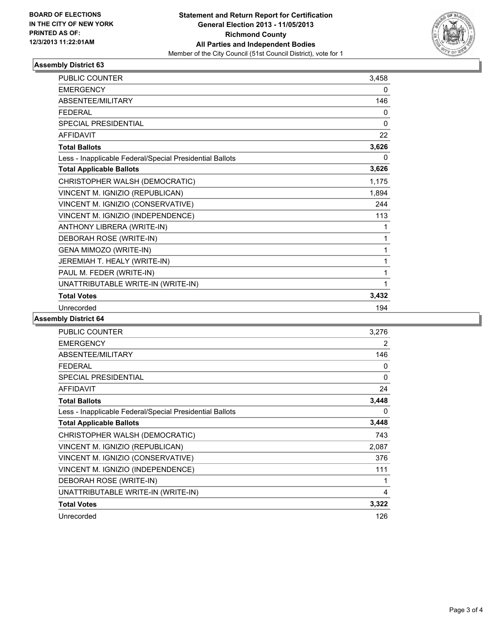

## **Assembly District 63**

| PUBLIC COUNTER                                           | 3,458        |
|----------------------------------------------------------|--------------|
| <b>EMERGENCY</b>                                         | 0            |
| <b>ABSENTEE/MILITARY</b>                                 | 146          |
| <b>FEDERAL</b>                                           | 0            |
| <b>SPECIAL PRESIDENTIAL</b>                              | $\mathbf{0}$ |
| <b>AFFIDAVIT</b>                                         | 22           |
| <b>Total Ballots</b>                                     | 3,626        |
| Less - Inapplicable Federal/Special Presidential Ballots | 0            |
| <b>Total Applicable Ballots</b>                          | 3,626        |
| CHRISTOPHER WALSH (DEMOCRATIC)                           | 1,175        |
| VINCENT M. IGNIZIO (REPUBLICAN)                          | 1,894        |
| VINCENT M. IGNIZIO (CONSERVATIVE)                        | 244          |
| VINCENT M. IGNIZIO (INDEPENDENCE)                        | 113          |
| ANTHONY LIBRERA (WRITE-IN)                               | 1            |
| DEBORAH ROSE (WRITE-IN)                                  | 1            |
| GENA MIMOZO (WRITE-IN)                                   | 1            |
| JEREMIAH T. HEALY (WRITE-IN)                             | 1            |
| PAUL M. FEDER (WRITE-IN)                                 | 1            |
| UNATTRIBUTABLE WRITE-IN (WRITE-IN)                       | 1            |
| <b>Total Votes</b>                                       | 3,432        |
| Unrecorded                                               | 194          |

### **Assembly District 64**

| <b>PUBLIC COUNTER</b>                                    | 3,276 |
|----------------------------------------------------------|-------|
| <b>EMERGENCY</b>                                         | 2     |
| ABSENTEE/MILITARY                                        | 146   |
| <b>FEDERAL</b>                                           | 0     |
| <b>SPECIAL PRESIDENTIAL</b>                              | 0     |
| <b>AFFIDAVIT</b>                                         | 24    |
| <b>Total Ballots</b>                                     | 3,448 |
| Less - Inapplicable Federal/Special Presidential Ballots | 0     |
| <b>Total Applicable Ballots</b>                          | 3,448 |
| CHRISTOPHER WALSH (DEMOCRATIC)                           | 743   |
| VINCENT M. IGNIZIO (REPUBLICAN)                          | 2,087 |
| VINCENT M. IGNIZIO (CONSERVATIVE)                        | 376   |
| VINCENT M. IGNIZIO (INDEPENDENCE)                        | 111   |
| DEBORAH ROSE (WRITE-IN)                                  | 1     |
| UNATTRIBUTABLE WRITE-IN (WRITE-IN)                       | 4     |
| <b>Total Votes</b>                                       | 3,322 |
| Unrecorded                                               | 126   |